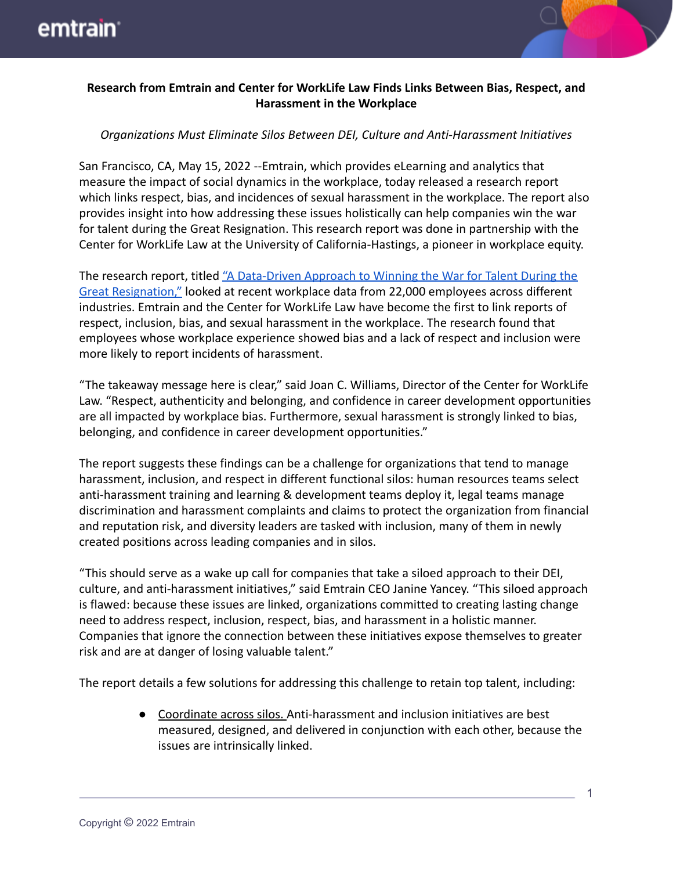

## **Research from Emtrain and Center for WorkLife Law Finds Links Between Bias, Respect, and Harassment in the Workplace**

## *Organizations Must Eliminate Silos Between DEI, Culture and Anti-Harassment Initiatives*

San Francisco, CA, May 15, 2022 --Emtrain, which provides eLearning and analytics that measure the impact of social dynamics in the workplace, today released a research report which links respect, bias, and incidences of sexual harassment in the workplace. The report also provides insight into how addressing these issues holistically can help companies win the war for talent during the Great Resignation. This research report was done in partnership with the Center for WorkLife Law at the University of California-Hastings, a pioneer in workplace equity.

The research report, titled "A Data-Driven Approach [to Winning the War for Talent During the](https://emtrain.com/workplace-culture-research/#research2022) [Great Resignation,"](https://emtrain.com/workplace-culture-research/#research2022) looked at recent workplace data from 22,000 employees across different industries. Emtrain and the Center for WorkLife Law have become the first to link reports of respect, inclusion, bias, and sexual harassment in the workplace. The research found that employees whose workplace experience showed bias and a lack of respect and inclusion were more likely to report incidents of harassment.

"The takeaway message here is clear," said Joan C. Williams, Director of the Center for WorkLife Law. "Respect, authenticity and belonging, and confidence in career development opportunities are all impacted by workplace bias. Furthermore, sexual harassment is strongly linked to bias, belonging, and confidence in career development opportunities."

The report suggests these findings can be a challenge for organizations that tend to manage harassment, inclusion, and respect in different functional silos: human resources teams select anti-harassment training and learning & development teams deploy it, legal teams manage discrimination and harassment complaints and claims to protect the organization from financial and reputation risk, and diversity leaders are tasked with inclusion, many of them in newly created positions across leading companies and in silos.

"This should serve as a wake up call for companies that take a siloed approach to their DEI, culture, and anti-harassment initiatives," said Emtrain CEO Janine Yancey. "This siloed approach is flawed: because these issues are linked, organizations committed to creating lasting change need to address respect, inclusion, respect, bias, and harassment in a holistic manner. Companies that ignore the connection between these initiatives expose themselves to greater risk and are at danger of losing valuable talent."

The report details a few solutions for addressing this challenge to retain top talent, including:

● Coordinate across silos. Anti-harassment and inclusion initiatives are best measured, designed, and delivered in conjunction with each other, because the issues are intrinsically linked.